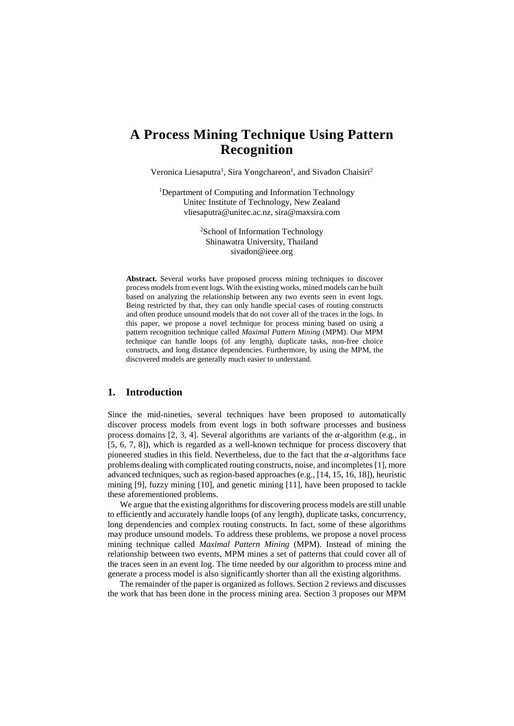# **A Process Mining Technique Using Pattern Recognition**

Veronica Liesaputra<sup>1</sup>, Sira Yongchareon<sup>1</sup>, and Sivadon Chaisiri<sup>2</sup>

<sup>1</sup>Department of Computing and Information Technology Unitec Institute of Technology, New Zealand vliesaputra@unitec.ac.nz, sira@maxsira.com

> 2 School of Information Technology Shinawatra University, Thailand sivadon@ieee.org

**Abstract.** Several works have proposed process mining techniques to discover process models from event logs. With the existing works, mined models can be built based on analyzing the relationship between any two events seen in event logs. Being restricted by that, they can only handle special cases of routing constructs and often produce unsound models that do not cover all of the traces in the logs. In this paper, we propose a novel technique for process mining based on using a pattern recognition technique called *Maximal Pattern Mining* (MPM). Our MPM technique can handle loops (of any length), duplicate tasks, non-free choice constructs, and long distance dependencies. Furthermore, by using the MPM, the discovered models are generally much easier to understand.

# **1. Introduction**

Since the mid-nineties, several techniques have been proposed to automatically discover process models from event logs in both software processes and business process domains [\[2,](#page-7-0) [3,](#page-7-1) [4\]](#page-7-2). Several algorithms are variants of the  $\alpha$ -algorithm (e.g., in [\[5,](#page-7-3) [6,](#page-7-4) [7,](#page-7-5) [8\]](#page-7-6)), which is regarded as a well-known technique for process discovery that pioneered studies in this field. Nevertheless, due to the fact that the  $\alpha$ -algorithms face problems dealing with complicated routing constructs, noise, and incompletes [\[1\]](#page-6-0), more advanced techniques, such as region-based approaches (e.g., [\[14,](#page-7-7) [15,](#page-7-8) [16,](#page-7-9) [18\]](#page-7-10)), heuristic mining [\[9\]](#page-7-11), fuzzy mining [\[10\]](#page-7-12), and genetic mining [\[11\]](#page-7-13), have been proposed to tackle these aforementioned problems.

We argue that the existing algorithms for discovering process models are still unable to efficiently and accurately handle loops (of any length), duplicate tasks, concurrency, long dependencies and complex routing constructs. In fact, some of these algorithms may produce unsound models. To address these problems, we propose a novel process mining technique called *Maximal Pattern Mining* (MPM). Instead of mining the relationship between two events, MPM mines a set of patterns that could cover all of the traces seen in an event log. The time needed by our algorithm to process mine and generate a process model is also significantly shorter than all the existing algorithms.

The remainder of the paper is organized as follows. Section 2 reviews and discusses the work that has been done in the process mining area. Section 3 proposes our MPM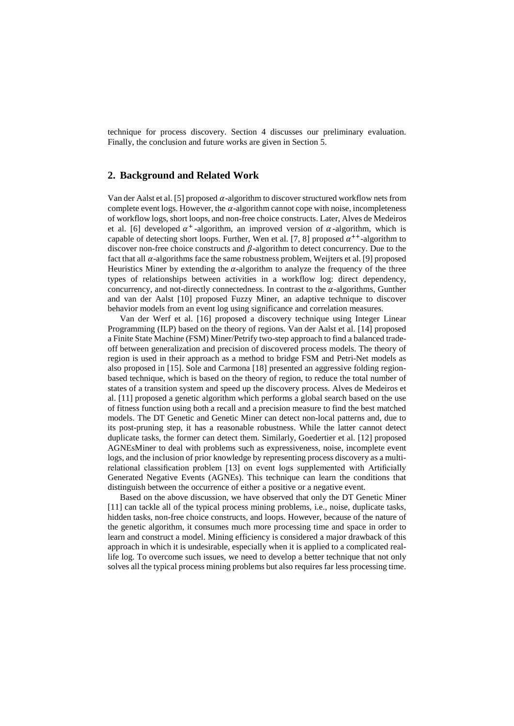technique for process discovery. Section 4 discusses our preliminary evaluation. Finally, the conclusion and future works are given in Section 5.

## **2. Background and Related Work**

Van der Aalst et al. [\[5\]](#page-7-3) proposed  $\alpha$ -algorithm to discover structured workflow nets from complete event logs. However, the  $\alpha$ -algorithm cannot cope with noise, incompleteness of workflow logs, short loops, and non-free choice constructs. Later, Alves de Medeiros et al. [\[6\]](#page-7-4) developed  $\alpha^+$ -algorithm, an improved version of  $\alpha$ -algorithm, which is capable of detecting short loops. Further, Wen et al. [\[7,](#page-7-5) [8\]](#page-7-6) proposed  $\alpha^{++}$ -algorithm to discover non-free choice constructs and  $\beta$ -algorithm to detect concurrency. Due to the fact that all  $\alpha$ -algorithms face the same robustness problem, Weijters et al. [\[9\]](#page-7-11) proposed Heuristics Miner by extending the  $\alpha$ -algorithm to analyze the frequency of the three types of relationships between activities in a workflow log: direct dependency, concurrency, and not-directly connectedness. In contrast to the  $\alpha$ -algorithms, Gunther and van der Aalst [\[10\]](#page-7-12) proposed Fuzzy Miner, an adaptive technique to discover behavior models from an event log using significance and correlation measures.

Van der Werf et al. [\[16\]](#page-7-9) proposed a discovery technique using Integer Linear Programming (ILP) based on the theory of regions. Van der Aalst et al. [\[14\]](#page-7-7) proposed a Finite State Machine (FSM) Miner/Petrify two-step approach to find a balanced tradeoff between generalization and precision of discovered process models. The theory of region is used in their approach as a method to bridge FSM and Petri-Net models as also proposed in [\[15\]](#page-7-8). Sole and Carmona [\[18\]](#page-7-10) presented an aggressive folding regionbased technique, which is based on the theory of region, to reduce the total number of states of a transition system and speed up the discovery process. Alves de Medeiros et al. [\[11\]](#page-7-13) proposed a genetic algorithm which performs a global search based on the use of fitness function using both a recall and a precision measure to find the best matched models. The DT Genetic and Genetic Miner can detect non-local patterns and, due to its post-pruning step, it has a reasonable robustness. While the latter cannot detect duplicate tasks, the former can detect them. Similarly, Goedertier et al. [\[12\]](#page-7-14) proposed AGNEsMiner to deal with problems such as expressiveness, noise, incomplete event logs, and the inclusion of prior knowledge by representing process discovery as a multirelational classification problem [[13\]](#page-7-15) on event logs supplemented with Artificially Generated Negative Events (AGNEs). This technique can learn the conditions that distinguish between the occurrence of either a positive or a negative event.

Based on the above discussion, we have observed that only the DT Genetic Miner [\[11\]](#page-7-13) can tackle all of the typical process mining problems, i.e., noise, duplicate tasks, hidden tasks, non-free choice constructs, and loops. However, because of the nature of the genetic algorithm, it consumes much more processing time and space in order to learn and construct a model. Mining efficiency is considered a major drawback of this approach in which it is undesirable, especially when it is applied to a complicated reallife log. To overcome such issues, we need to develop a better technique that not only solves all the typical process mining problems but also requires far less processing time.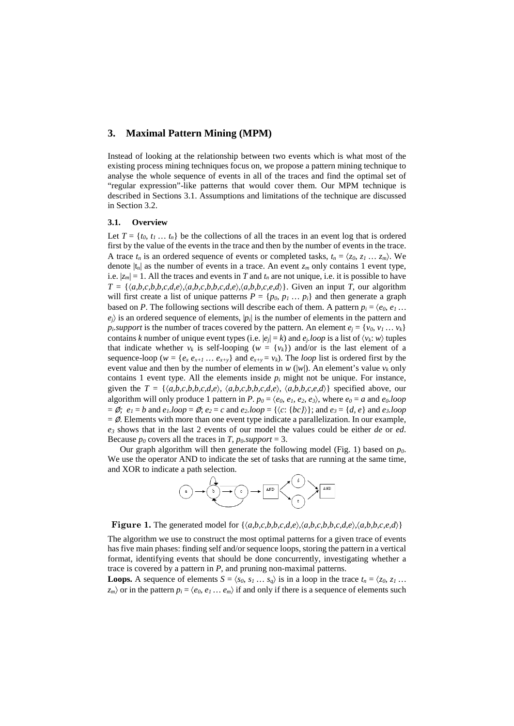## **3. Maximal Pattern Mining (MPM)**

Instead of looking at the relationship between two events which is what most of the existing process mining techniques focus on, we propose a pattern mining technique to analyse the whole sequence of events in all of the traces and find the optimal set of "regular expression"-like patterns that would cover them. Our MPM technique is described in Sections [3.1.](#page-2-0) Assumptions and limitations of the technique are discussed in Sectio[n 3.2.](#page-4-0)

#### <span id="page-2-0"></span>**3.1. Overview**

Let  $T = \{t_0, t_1, \ldots, t_n\}$  be the collections of all the traces in an event log that is ordered first by the value of the events in the trace and then by the number of events in the trace. A trace  $t_n$  is an ordered sequence of events or completed tasks,  $t_n = \langle z_0, z_1, \ldots, z_m \rangle$ . We denote  $|t_n|$  as the number of events in a trace. An event  $z_m$  only contains 1 event type, i.e.  $|z_m| = 1$ . All the traces and events in *T* and  $t_n$  are not unique, i.e. it is possible to have  $T = \{\langle a,b,c,b,b,c,d,e \rangle, \langle a,b,c,b,b,c,d,e \rangle, \langle a,b,b,c,e,d \rangle\}.$  Given an input *T*, our algorithm will first create a list of unique patterns  $P = \{p_0, p_1 \dots p_i\}$  and then generate a graph based on *P*. The following sections will describe each of them. A pattern  $p_i = \langle e_0, e_1, \dots \rangle$  $e_i$ ) is an ordered sequence of elements,  $|p_i|$  is the number of elements in the pattern and  $p_i$ *support* is the number of traces covered by the pattern. An element  $e_i = \{v_0, v_1, \ldots, v_k\}$ contains *k* number of unique event types (i.e.  $|e_i| = k$ ) and  $e_i \cdot \text{loop}$  is a list of  $\langle v_k : w \rangle$  tuples that indicate whether  $v_k$  is self-looping ( $w = \{v_k\}$ ) and/or is the last element of a sequence-loop ( $w = \{e_x e_{x+1} ... e_{x+y}\}\$  and  $e_{x+y} = v_k$ ). The *loop* list is ordered first by the event value and then by the number of elements in  $w(|w|)$ . An element's value  $v_k$  only contains 1 event type. All the elements inside  $p_i$  might not be unique. For instance, given the  $T = \{\langle a,b,c,b,b,c,d,e \rangle, \langle a,b,c,b,b,c,d,e \rangle, \langle a,b,b,c,e,d \rangle\}$  specified above, our algorithm will only produce 1 pattern in *P*.  $p_0 = \langle e_0, e_1, e_2, e_3 \rangle$ , where  $e_0 = a$  and  $e_0$ .loop  $= \emptyset$ ;  $e_1 = b$  and  $e_1 \cdot loop = \emptyset$ ;  $e_2 = c$  and  $e_2 \cdot loop = \{\langle c : \{bc\}\rangle\}$ ; and  $e_3 = \{d, e\}$  and  $e_3 \cdot loop$  $=$  Ø. Elements with more than one event type indicate a parallelization. In our example, *e3* shows that in the last 2 events of our model the values could be either *de* or *ed*. Because  $p_0$  covers all the traces in *T*,  $p_0$ *support* = 3.

Our graph algorithm will then generate the following model (Fig. 1) based on *p0*. We use the operator AND to indicate the set of tasks that are running at the same time, and XOR to indicate a path selection.





The algorithm we use to construct the most optimal patterns for a given trace of events has five main phases: finding self and/or sequence loops, storing the pattern in a vertical format, identifying events that should be done concurrently, investigating whether a trace is covered by a pattern in *P*, and pruning non-maximal patterns.

**Loops.** A sequence of elements  $S = \langle s_0, s_1, \ldots, s_q \rangle$  is in a loop in the trace  $t_n = \langle z_0, z_1, \ldots, z_q \rangle$  $\langle z_m \rangle$  or in the pattern  $p_i = \langle e_0, e_1, \ldots, e_m \rangle$  if and only if there is a sequence of elements such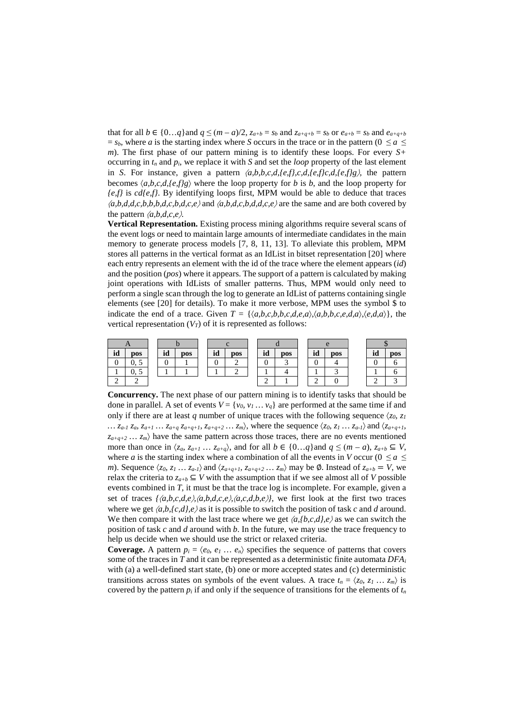that for all  $b \in \{0...q\}$  and  $q \leq (m - a)/2$ ,  $z_{a+b} = s_b$  and  $z_{a+q+b} = s_b$  or  $e_{a+b} = s_b$  and  $e_{a+a+b}$  $= s_b$ , where *a* is the starting index where *S* occurs in the trace or in the pattern (0  $\le a \le$ *m*). The first phase of our pattern mining is to identify these loops. For every *S+* occurring in  $t_n$  and  $p_i$ , we replace it with *S* and set the *loop* property of the last element in *S*. For instance, given a pattern 〈*a,b,b,c,d,{e,f},c,d,{e,f}c,d,{e,f}g*〉*,* the pattern becomes  $\langle a,b,c,d,\{e,f\}g \rangle$  where the loop property for *b* is *b*, and the loop property for *{e,f}* is *cd{e,f}*. By identifying loops first, MPM would be able to deduce that traces 〈*a,b,d,d,c,b,b,b,d,c,b,d,c,e*〉 and 〈*a,b,d,c,b,d,d,c,e*〉 are the same and are both covered by the pattern  $\langle a,b,d,c,e \rangle$ .

**Vertical Representation.** Existing process mining algorithms require several scans of the event logs or need to maintain large amounts of intermediate candidates in the main memory to generate process models [\[7,](#page-7-5) [8,](#page-7-6) [11,](#page-7-13) [13\]](#page-7-15). To alleviate this problem, MPM stores all patterns in the vertical format as an IdList in bitset representation [\[20\]](#page-7-16) where each entry represents an element with the id of the trace where the element appears (*id*) and the position (*pos*) where it appears. The support of a pattern is calculated by making joint operations with IdLists of smaller patterns. Thus, MPM would only need to perform a single scan through the log to generate an IdList of patterns containing single elements (see [\[20\]](#page-7-16) for details). To make it more verbose, MPM uses the symbol \$ to indicate the end of a trace. Given  $T = \{\langle a,b,c,b,b,c,d,e,a \rangle, \langle a,b,b,c,e,d,a \rangle, \langle e,d,a \rangle\}$ , the vertical representation  $(V_T)$  of it is represented as follows:



**Concurrency.** The next phase of our pattern mining is to identify tasks that should be done in parallel. A set of events  $V = \{v_0, v_1, \ldots, v_q\}$  are performed at the same time if and only if there are at least *q* number of unique traces with the following sequence  $\langle z_0, z_1 \rangle$ *… za-1 za, za+1 … za+q za+q+1, za+q+2 … zm*〉, where the sequence 〈*z0, z1 … za-1*〉 and 〈*za+q+1,*   $z_{a+q+2}$   $\ldots$   $z_m$  have the same pattern across those traces, there are no events mentioned more than once in  $\langle z_a, z_{a+1} \dots z_{a+q} \rangle$ , and for all  $b \in \{0...q\}$  and  $q \leq (m - a), z_{a+b} \subseteq V$ , where *a* is the starting index where a combination of all the events in *V* occur ( $0 \le a \le$ *m*). Sequence  $\langle z_0, z_1, z_2, z_1 \rangle$  and  $\langle z_{a+q+1}, z_{a+q+2}, z_2, z_2 \rangle$  may be Ø. Instead of  $z_{a+b} = V$ , we relax the criteria to  $z_{a+b} \subseteq V$  with the assumption that if we see almost all of *V* possible events combined in *T*, it must be that the trace log is incomplete. For example, given a set of traces  $\{\langle a,b,c,d,e \rangle, \langle a,b,d,c,e \rangle, \langle a,c,d,b,e \rangle\}$ , we first look at the first two traces where we get  $\langle a,b,f,c,d \rangle$  as it is possible to switch the position of task c and d around. We then compare it with the last trace where we get  $\langle a, \{b, c, d\}, e \rangle$  as we can switch the position of task *c* and *d* around with *b*. In the future, we may use the trace frequency to help us decide when we should use the strict or relaxed criteria.

**Coverage.** A pattern  $p_i = \langle e_0, e_1, \ldots, e_n \rangle$  specifies the sequence of patterns that covers some of the traces in *T* and it can be represented as a deterministic finite automata *DFAi* with (a) a well-defined start state, (b) one or more accepted states and (c) deterministic transitions across states on symbols of the event values. A trace  $t_n = \langle z_0, z_1, \ldots, z_m \rangle$  is covered by the pattern  $p_i$  if and only if the sequence of transitions for the elements of  $t_n$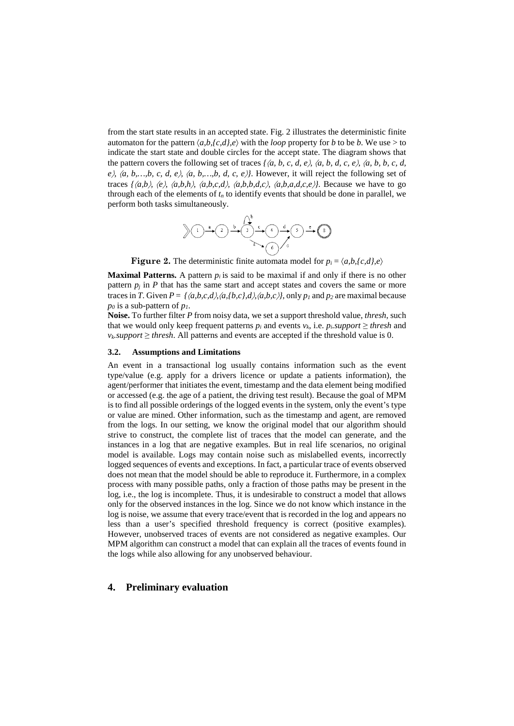from the start state results in an accepted state. Fig. 2 illustrates the deterministic finite automaton for the pattern  $\langle a,b,\{c,d\},e\rangle$  with the *loop* property for *b* to be *b*. We use > to indicate the start state and double circles for the accept state. The diagram shows that the pattern covers the following set of traces *{*〈*a, b, c, d, e*〉*,* 〈*a, b, d, c, e*〉*,* 〈*a, b, b, c, d,*  $e$ ,  $\langle a, b, ..., b, c, d, e \rangle$ ,  $\langle a, b, ..., b, d, c, e \rangle$ . However, it will reject the following set of traces  $\{\langle a,b \rangle, \langle e \rangle, \langle a,b,h \rangle, \langle a,b,c,d \rangle, \langle a,b,d,c \rangle, \langle a,b,a,d,c,e \rangle\}$ . Because we have to go through each of the elements of  $t_n$  to identify events that should be done in parallel, we perform both tasks simultaneously.



**Figure 2.** The deterministic finite automata model for  $p_i = \langle a,b,\{c,d\},e \rangle$ 

**Maximal Patterns.** A pattern  $p_i$  is said to be maximal if and only if there is no other pattern  $p_i$  in  $P$  that has the same start and accept states and covers the same or more traces in *T*. Given  $P = \{\langle a,b,c,d \rangle, \langle a,b,c,d \rangle, \langle a,b,c \rangle\}$ , only  $p_1$  and  $p_2$  are maximal because  $p_0$  is a sub-pattern of  $p_1$ .

**Noise.** To further filter *P* from noisy data, we set a support threshold value, *thresh*, such that we would only keep frequent patterns  $p_i$  and events  $v_k$ , i.e.  $p_i$ *support*  $\geq$  *thresh* and  $v_k$ *support*  $\geq$  *thresh*. All patterns and events are accepted if the threshold value is 0.

#### <span id="page-4-0"></span>**3.2. Assumptions and Limitations**

An event in a transactional log usually contains information such as the event type/value (e.g. apply for a drivers licence or update a patients information), the agent/performer that initiates the event, timestamp and the data element being modified or accessed (e.g. the age of a patient, the driving test result). Because the goal of MPM is to find all possible orderings of the logged events in the system, only the event's type or value are mined. Other information, such as the timestamp and agent, are removed from the logs. In our setting, we know the original model that our algorithm should strive to construct, the complete list of traces that the model can generate, and the instances in a log that are negative examples. But in real life scenarios, no original model is available. Logs may contain noise such as mislabelled events, incorrectly logged sequences of events and exceptions. In fact, a particular trace of events observed does not mean that the model should be able to reproduce it. Furthermore, in a complex process with many possible paths, only a fraction of those paths may be present in the log, i.e., the log is incomplete. Thus, it is undesirable to construct a model that allows only for the observed instances in the log. Since we do not know which instance in the log is noise, we assume that every trace/event that is recorded in the log and appears no less than a user's specified threshold frequency is correct (positive examples). However, unobserved traces of events are not considered as negative examples. Our MPM algorithm can construct a model that can explain all the traces of events found in the logs while also allowing for any unobserved behaviour.

## **4. Preliminary evaluation**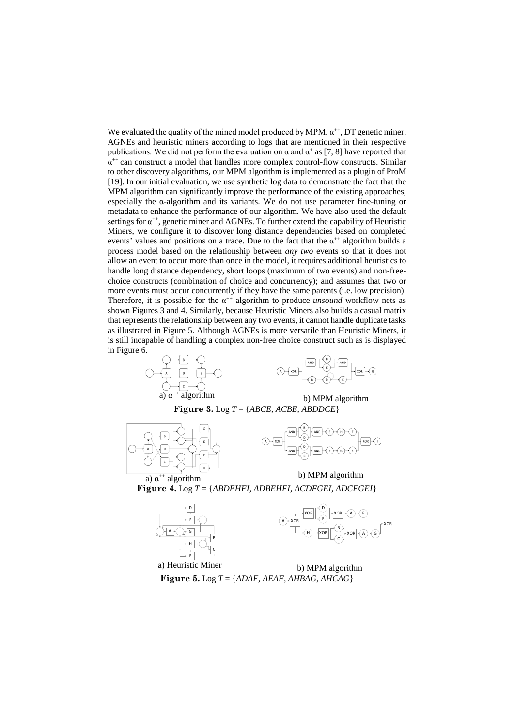We evaluated the quality of the mined model produced by MPM,  $\alpha^{++}$ , DT genetic miner, AGNEs and heuristic miners according to logs that are mentioned in their respective publications. We did not perform the evaluation on  $\alpha$  and  $\alpha^+$  as [\[7,](#page-7-5) [8\]](#page-7-6) have reported that  $\alpha^{++}$  can construct a model that handles more complex control-flow constructs. Similar to other discovery algorithms, our MPM algorithm is implemented as a plugin of ProM [\[19\]](#page-7-17). In our initial evaluation, we use synthetic log data to demonstrate the fact that the MPM algorithm can significantly improve the performance of the existing approaches, especially the α-algorithm and its variants. We do not use parameter fine-tuning or metadata to enhance the performance of our algorithm. We have also used the default settings for  $\alpha^{++}$ , genetic miner and AGNEs. To further extend the capability of Heuristic Miners, we configure it to discover long distance dependencies based on completed events' values and positions on a trace. Due to the fact that the  $\alpha^{++}$  algorithm builds a process model based on the relationship between *any two* events so that it does not allow an event to occur more than once in the model, it requires additional heuristics to handle long distance dependency, short loops (maximum of two events) and non-freechoice constructs (combination of choice and concurrency); and assumes that two or more events must occur concurrently if they have the same parents (i.e. low precision). Therefore, it is possible for the  $\alpha^{++}$  algorithm to produce *unsound* workflow nets as shown Figures 3 and 4. Similarly, because Heuristic Miners also builds a casual matrix that represents the relationship between any two events, it cannot handle duplicate tasks as illustrated in Figure 5. Although AGNEs is more versatile than Heuristic Miners, it is still incapable of handling a complex non-free choice construct such as is displayed





**Figure 3.** Log *T* = {*ABCE, ACBE, ABDDCE*}





a)  $\alpha^{+}$  algorithm b) MPM algorithm **Figure 4.** Log *T* = {*ABDEHFI, ADBEHFI, ACDFGEI, ADCFGEI*}





a) Heuristic Miner b) MPM algorithm **Figure 5.** Log *T* = {*ADAF, AEAF, AHBAG, AHCAG*}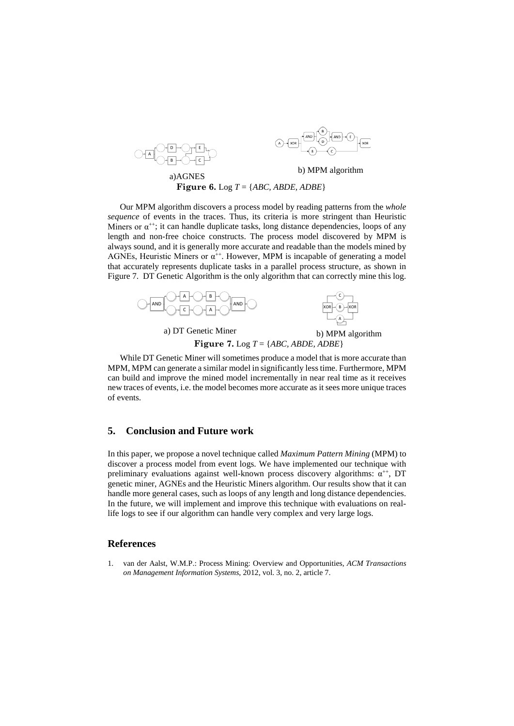



a) AGNES b) MPM algorithm **Figure 6.** Log *T* = {*ABC, ABDE, ADBE*}

Our MPM algorithm discovers a process model by reading patterns from the *whole sequence* of events in the traces. Thus, its criteria is more stringent than Heuristic Miners or  $\alpha^{++}$ ; it can handle duplicate tasks, long distance dependencies, loops of any length and non-free choice constructs. The process model discovered by MPM is always sound, and it is generally more accurate and readable than the models mined by AGNEs, Heuristic Miners or  $\alpha^{++}$ . However, MPM is incapable of generating a model that accurately represents duplicate tasks in a parallel process structure, as shown in Figure 7. DT Genetic Algorithm is the only algorithm that can correctly mine this log.



While DT Genetic Miner will sometimes produce a model that is more accurate than MPM, MPM can generate a similar model in significantly less time. Furthermore, MPM can build and improve the mined model incrementally in near real time as it receives new traces of events, i.e. the model becomes more accurate as it sees more unique traces of events.

## **5. Conclusion and Future work**

In this paper, we propose a novel technique called *Maximum Pattern Mining* (MPM) to discover a process model from event logs. We have implemented our technique with preliminary evaluations against well-known process discovery algorithms:  $\alpha^{++}$ , DT genetic miner, AGNEs and the Heuristic Miners algorithm. Our results show that it can handle more general cases, such as loops of any length and long distance dependencies. In the future, we will implement and improve this technique with evaluations on reallife logs to see if our algorithm can handle very complex and very large logs.

# **References**

<span id="page-6-0"></span>1. van der Aalst, W.M.P.: Process Mining: Overview and Opportunities, *ACM Transactions on Management Information Systems*, 2012, vol. 3, no. 2, article 7.